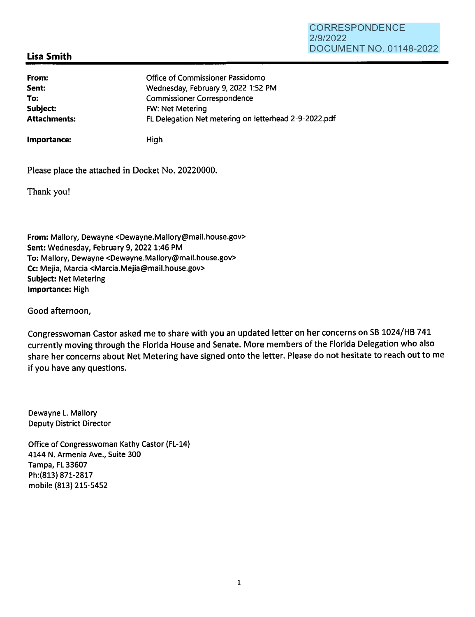## **CORRESPONDENCE** 2/9/2022 DOCUMENT NO. 01148-2022

# **Lisa Smith**

| From:               | Office of Commissioner Passidomo                      |
|---------------------|-------------------------------------------------------|
| Sent:               | Wednesday, February 9, 2022 1:52 PM                   |
| To:                 | <b>Commissioner Correspondence</b>                    |
| Subject:            | FW: Net Metering                                      |
| <b>Attachments:</b> | FL Delegation Net metering on letterhead 2-9-2022.pdf |
|                     |                                                       |

**Importance:** High

Please place the attached in Docket No. 20220000.

Thank you!

**From:** Mallory, Dewayne <Dewayne.Mallory@mail.house.gov> **Sent:** Wednesday, February 9, 2022 1:46 PM **To:** Mallory, Dewayne <Dewayne.Mallory@mail.house.gov> Cc: Mejia, Marcia <Marcia.Mejia@mail.house.gov> **Subject:** Net Metering **Importance:** High

Good afternoon,

Congresswoman Castor asked me to share with you an updated letter on her concerns on SB 1024/HB 741 currently moving through the Florida House and Senate. More members of the Florida Delegation who also share her concerns about Net Metering have signed onto the letter. Please do not hesitate to reach out to me if you have any questions.

Dewayne L. Mallory Deputy District Director

Office of Congresswoman Kathy Castor (FL-14) 4144 N. Armenia Ave., Suite 300 Tampa, FL 33607 Ph:(813) 871-2817 mobile (813) 215-5452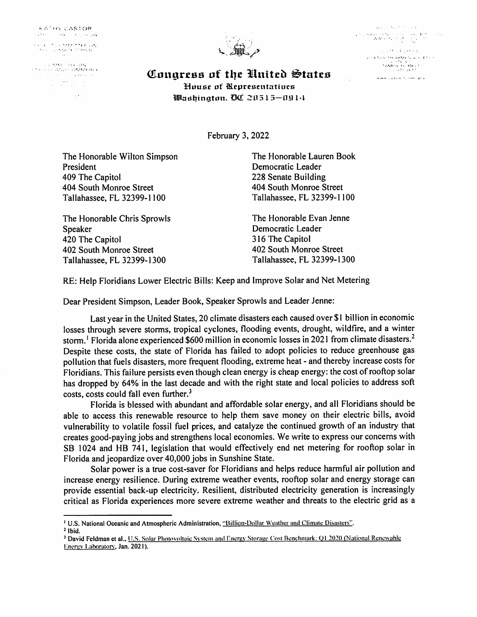**KATHY CASTOR**  $\mathcal{O}(\mathcal{O}(\epsilon))$  , which is a probability

i<br>Harrista Monteguista<br>Harrista Monteguista

i (1958) (1958-1954)<br>Ethnologia avaliaca de alemania the construction of the  $\alpha$  and  $\alpha$  and  $\alpha$  $\label{eq:2} \begin{split} \mathcal{L}_{\text{max}}(\mathbf{r}) &= \mathcal{L}_{\text{max}}(\mathbf{r}) \mathcal{L}_{\text{max}}(\mathbf{r}) + \mathcal{L}_{\text{max}}(\mathbf{r}) \\ &= \mathcal{L}_{\text{max}}(\mathbf{r}) + \mathcal{L}_{\text{max}}(\mathbf{r}) + \mathcal{L}_{\text{max}}(\mathbf{r}) \end{split}$ 

 $\mathcal{L}^{\text{max}}_{\text{max}}$  and  $\mathcal{L}^{\text{max}}_{\text{max}}$ 



**Control Control**  $\label{eq:2} \begin{array}{ll} \mathcal{O}_{\mathcal{M}}(x,y) = \mathcal{O}_{\mathcal{M}}(x,y) \times \mathcal{O}_{\mathcal{M}}(x,y) \\ \mathcal{O}_{\mathcal{M}}(x,y) = \mathcal{O}_{\mathcal{M}}(x,y) \times \mathcal{O}_{\mathcal{M}}(x,y) \times \mathcal{O}_{\mathcal{M}}(x,y) \end{array}$ **Stockholms** (ARV and **Carried for the AMMENUM CONTROL**  $\begin{array}{c} \left( \mathbf{x} \cdot \mathbf{y} \right) \in \mathbb{F} \left( \mathbf{x} \cdot \mathbf{y} \right) \mathbb{Q}, \\ \mathbf{y} \cdot \mathbf{y} \cdot \mathbf{y} \cdot \mathbf{y} \cdot \mathbf{y} \cdot \mathbf{y} \cdot \mathbf{y} \cdot \mathbf{y} \cdot \mathbf{y} \cdot \mathbf{y} \cdot \mathbf{y} \cdot \mathbf{y} \cdot \mathbf{y} \cdot \mathbf{y} \cdot \mathbf{y} \cdot \mathbf{y} \cdot \mathbf{y} \cdot \mathbf{y} \cdot \mathbf{y} \cdot \mathbf{y} \cdot$ www.castili.footbe.gov

Congress of the United States House of Representatives Washington. DC 20515-0914

February 3, 2022

The Honorable Wilton Simpson President 409 The Capitol 404 South Monroe Street Tallahassee, FL 32399-1100

The Honorable Chris Sprowls Speaker 420 The Capitol 402 South Monroe Street Tallahassee, FL 32399-1300

The Honorable Lauren Book Democratic Leader 228 Senate Building 404 South Monroe Street Tallahassee, FL 32399-1100

The Honorable Evan Jenne Democratic Leader 316 The Capitol 402 South Monroe Street Tallahassee, FL 32399-1300

RE: Help Floridians Lower Electric Bills: Keep and Improve Solar and Net Metering

Dear President Simpson, Leader Book, Speaker Sprowls and Leader Jenne:

Last year in the United States, 20 climate disasters each caused over \$1 billion in economic losses through severe storms, tropical cyclones, flooding events, drought, wildfire, and a winter storm.<sup>1</sup> Florida alone experienced \$600 million in economic losses in 2021 from climate disasters.<sup>2</sup> Despite these costs, the state of Florida has failed to adopt policies to reduce greenhouse gas pollution that fuels disasters, more frequent flooding, extreme heat - and thereby increase costs for Floridians. This failure persists even though clean energy is cheap energy: the cost of rooftop solar has dropped by 64% in the last decade and with the right state and local policies to address soft costs, costs could fall even further.<sup>3</sup>

Florida is blessed with abundant and affordable solar energy, and all Floridians should be able to access this renewable resource to help them save money on their electric bills, avoid vulnerability to volatile fossil fuel prices, and catalyze the continued growth of an industry that creates good-paying jobs and strengthens local economies. We write to express our concerns with SB 1024 and HB 741, legislation that would effectively end net metering for rooftop solar in Florida and jeopardize over 40,000 jobs in Sunshine State.

Solar power is a true cost-saver for Floridians and helps reduce harmful air pollution and increase energy resilience. During extreme weather events, rooftop solar and energy storage can provide essential back-up electricity. Resilient, distributed electricity generation is increasingly critical as Florida experiences more severe extreme weather and threats to the electric grid as a

<sup>&</sup>lt;sup>1</sup> U.S. National Oceanic and Atmospheric Administration, "Billion-Dollar Weather and Climate Disasters".

 $<sup>2</sup>$  Ibid.</sup>

<sup>&</sup>lt;sup>3</sup> David Feldman et al., U.S. Solar Photovoltaic System and Energy Storage Cost Benchmark: Q1 2020 (National Renewable Energy Laboratory, Jan. 2021).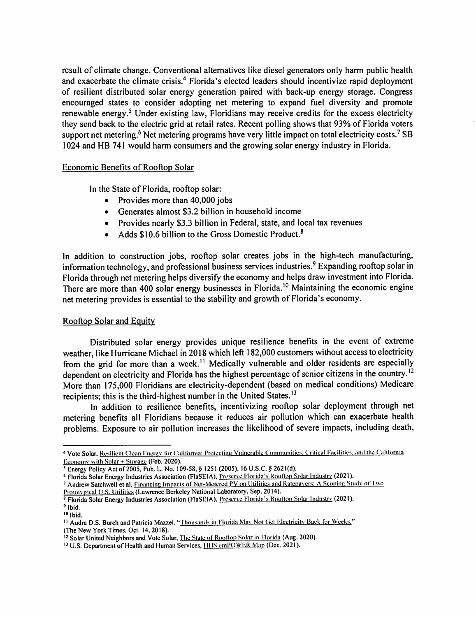result of climate change. Conventional alternatives like diesel generators only harm public health and exacerbate the climate crisis.<sup>4</sup> Florida's elected leaders should incentivize rapid deployment of resilient distributed solar energy generation paired with back-up energy storage. Congress encouraged states to consider adopting net metering to expand fuel diversity and promote renewable energy.<sup>5</sup> Under existing law, Floridians may receive credits for the excess electricity they send back to the electric grid at retail rates. Recent polling shows that 93% of Florida voters support net metering.<sup>6</sup> Net metering programs have very little impact on total electricity costs.<sup>7</sup> SB I 024 and HB 741 would harm consumers and the growing solar energy industry in Florida.

### Economic Benefits of Rooftop Solar

In the State of Florida, rooftop solar:

- Provides more than 40,000 jobs
- Generates almost \$3.2 billion in household income
- Provides nearly \$3.3 billion in Federal, state, and local tax revenues
- Adds  $$10.6$  billion to the Gross Domestic Product.<sup>8</sup>

In addition to construction jobs, rooftop solar creates jobs in the high-tech manufacturing, information technology, and professional business services industries.<sup>9</sup> Expanding rooftop solar in Florida through net metering helps diversify the economy and helps draw investment into Florida. There are more than 400 solar energy businesses in Florida.<sup>10</sup> Maintaining the economic engine net metering provides is essential to the stability and growth of Florida's economy.

### Rooftop Solar and Equity

Distributed solar energy provides unique resilience benefits in the event of extreme weather, like Hurricane Michael in 2018 which left 182,000 customers without access to electricity from the grid for more than a week.<sup>11</sup> Medically vulnerable and older residents are especially dependent on electricity and Florida has the highest percentage of senior citizens in the country.<sup>12</sup> More than 175,000 Floridians are electricity-dependent (based on medical conditions) Medicare recipients; this is the third-highest number in the United States.<sup>13</sup>

In addition to resilience benefits, incentivizing rooftop solar deployment through net metering benefits all Floridians because it reduces air pollution which can exacerbate health problems. Exposure to air pollution increases the likelihood of severe impacts, including death,

<sup>&</sup>lt;sup>4</sup> Vote Solar, Resilient Clean Energy for California: Protecting Vulnerable Communities. Critical Facilities, and the California Economy with Solar + Storage (Feb. 2020).

 $5$  Energy Policy Act of 2005, Pub. L. No. 109-58, § 1251 (2005), 16 U.S.C. § 2621(d).

<sup>&</sup>lt;sup>6</sup> Florida Solar Energy Industries Association (FlaSEIA), Preserve Florida's Rooftop Solar Industry (2021).

<sup>7</sup> Andrew Satchwell et al, Financing Impacts of Net-Metered PV on Utilities and Ratepavers: A Scoping Study of Two

Prototvpical U.S. Utilities (Lawrence Berkeley National Laboratory, Sep. 2014).

<sup>&</sup>lt;sup>8</sup> Florida Solar Energy Industries Association (FlaSEIA), Preserve Florida's Rooftop Solar Industry (2021). <sup>9</sup>**Ibid.** 

<sup>&</sup>lt;sup>10</sup> Ibid.

<sup>&</sup>lt;sup>11</sup> Audra D.S. Burch and Patricia Mazzei, "Thousands in Florida May Not Get Electricity Back for Weeks," (The New York Times. Oct. 14, 2018).

<sup>&</sup>lt;sup>12</sup> Solar United Neighbors and Vote Solar, The State of Roottop Solar in Florida (Aug. 2020).

<sup>&</sup>lt;sup>13</sup> U.S. Department of Health and Human Services, **IIIIS cmPOWER Map (Dec. 2021**).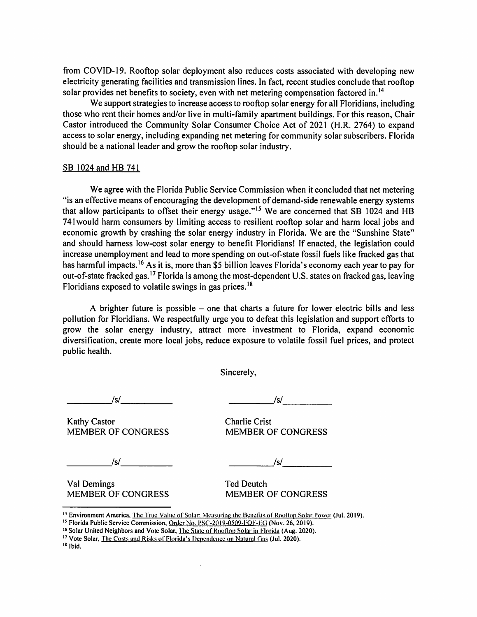from COVID-19. Rooftop solar deployment also reduces costs associated with developing new electricity generating facilities and transmission lines. In fact, recent studies conclude that rooftop solar provides net benefits to society, even with net metering compensation factored in.<sup>14</sup>

We support strategies to increase access to rooftop solar energy for all Floridians, including those who rent their homes and/or live in multi-family apartment buildings. For this reason, Chair Castor introduced the Community Solar Consumer Choice Act of 2021 (H.R. 2764) to expand access to solar energy, including expanding net metering for community solar subscribers. Florida should be a national leader and grow the rooftop solar industry.

#### SB 1024 and HB 741

We agree with the Florida Public Service Commission when it concluded that net metering "is an effective means of encouraging the development of demand-side renewable energy systems that allow participants to offset their energy usage."<sup>15</sup> We are concerned that SB 1024 and HB 741 would harm consumers by limiting access to resilient rooftop solar and harm local jobs and economic growth by crashing the solar energy industry in Florida. We are the "Sunshine State" and should harness low-cost solar energy to benefit Floridians! If enacted, the legislation could increase unemployment and lead to more spending on out-of-state fossil fuels like fracked gas that has harmful impacts.<sup>16</sup> As it is, more than \$5 billion leaves Florida's economy each year to pay for out-of-state fracked gas.<sup>17</sup> Florida is among the most-dependent U.S. states on fracked gas, leaving Floridians exposed to volatile swings in gas prices. <sup>18</sup>

A brighter future is possible – one that charts a future for lower electric bills and less pollution for Floridians. We respectfully urge you to defeat this legislation and support efforts to grow the solar energy industry, attract more investment to Florida, expand economic diversification, create more local jobs, reduce exposure to volatile fossil fuel prices, and protect public health.

Sincerely,

Kathy Castor **Charlie Crist** MEMBER OF CONGRESS MEMBER OF CONGRESS

*\_\_\_\_ \_,Isl \_\_\_\_ \_ \_\_\_\_ \_.Isl \_\_\_\_ \_* 

*\_\_\_\_\_ Isl \_\_\_\_ \_ \_ \_\_\_\_\_ Isl \_\_\_\_ \_* 

Val Demings Ted Deutch MEMBER OF CONGRESS MEMBER OF CONGRESS

<sup>&</sup>lt;sup>14</sup> Environment America, <u>The True Value of Solar: Measuring the Benefits of Rooftop Solar Power</u> (Jul. 2019).<br><sup>15</sup> Florida Public Service Commission, <u>Order No. PSC-2019-0509-FOF-EG</u> (Nov. 26, 2019).<br><sup>16</sup> Solar United Ne

<sup>&</sup>lt;sup>17</sup> Vote Solar, <u>The Costs and Risks of Florida's Dependence on Natural Gas</u> (Jul. 2020). <sup>18</sup> Ibid.